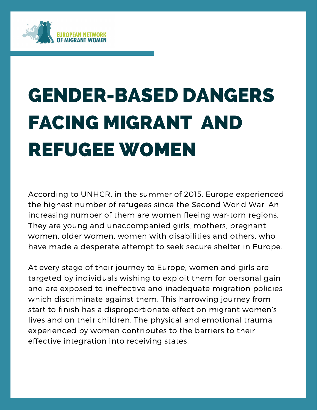

# GENDER-BASED DANGERS FACING MIGRANT AND REFUGEE WOMEN

the ingriest namber of relagees since the second world war. All<br>increasing number of them are women fleeing war-torn regions. According to UNHCR, in the summer of 2015, Europe experienced the highest number of refugees since the Second World War. An They are young and unaccompanied girls, mothers, pregnant women, older women, women with disabilities and others, who have made a desperate attempt to seek secure shelter in Europe.

At every stage of their journey to Europe, women and girls are targeted by individuals wishing to exploit them for personal gain and are exposed to ineffective and inadequate migration policies which discriminate against them. This harrowing journey from start to finish has a disproportionate effect on migrant women's lives and on their children. The physical and emotional trauma experienced by women contributes to the barriers to their effective integration into receiving states.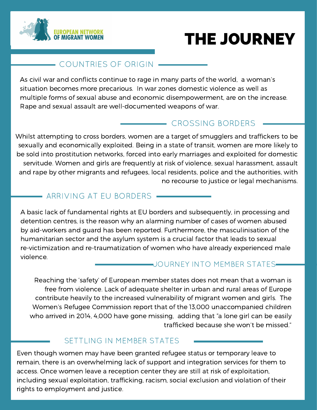



#### - COUNTRIES OF ORIGIN -

As civil war and conflicts continue to rage in many parts of the world, a woman's situation becomes more precarious. In war zones domestic violence as well as multiple forms of sexual abuse and economic disempowerment, are on the increase. Rape and sexual assault are well-documented weapons of war.

### CROSSING BORDERS

Whilst attempting to cross borders, women are a target of smugglers and traffickers to be sexually and economically exploited. Being in a state of transit, women are more likely to be sold into prostitution networks, forced into early marriages and exploited for domestic servitude. Women and girls are frequently at risk of violence, sexual harassment, assault and rape by other migrants and refugees, local residents, police and the authorities, with no recourse to justice or legal mechanisms.

### - ARRIVING AT EU BORDERS -

A basic lack of fundamental rights at EU borders and subsequently, in processing and detention centres, is the reason why an alarming number of cases of women abused by aid-workers and guard has been reported. Furthermore, the masculinisation of the humanitarian sector and the asylum system is a crucial factor that leads to sexual re-victimization and re-traumatization of women who have already experienced male violence.

#### JOURNEY INTO MEMBER STATES

Reaching the 'safety' of European member states does not mean that a woman is free from violence. Lack of adequate shelter in urban and rural areas of Europe contribute heavily to the increased vulnerability of migrant women and girls. The Women's Refugee Commission report that of the 13,000 unaccompanied children who arrived in 2014, 4,000 have gone missing, adding that "a lone girl can be easily trafficked because she won't be missed."

#### SETTLING IN MEMBER STATES

Even though women may have been granted refugee status or temporary leave to remain, there is an overwhelming lack of support and integration services for them to access. Once women leave a reception center they are still at risk of exploitation, including sexual exploitation, trafficking, racism, social exclusion and violation of their rights to employment and justice.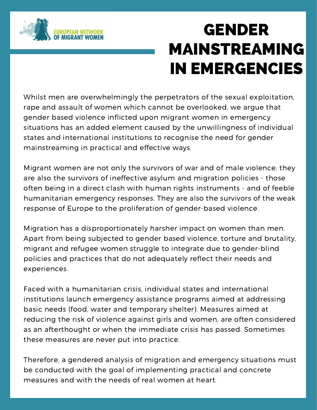

## GENDER MAINSTREAMING IN EMERGENCIES

Whilst men are overwhelmingly the perpetrators of the sexual exploitation, rape and assault of women which cannot be overlooked, we argue that gender based violence inflicted upon migrant women in emergency situations has an added element caused by the unwillingness of individual states and international institutions to recognise the need for gender mainstreaming in practical and effective ways.

response of Europe to the proliferation of gender-based violence. Migrant women are not only the survivors of war and of male violence; they are also the survivors of ineffective asylum and migration policies - those often being in a direct clash with human rights instruments - and of feeble humanitarian emergency responses. They are also the survivors of the weak

Migration has a disproportionately harsher impact on women than men. Apart from being subjected to gender based violence, torture and brutality, migrant and refugee women struggle to integrate due to gender-blind policies and practices that do not adequately reflect their needs and experiences.

Faced with a humanitarian crisis, individual states and international institutions launch emergency assistance programs aimed at addressing basic needs (food, water and temporary shelter). Measures aimed at reducing the risk of violence against girls and women, are often considered as an afterthought or when the immediate crisis has passed. Sometimes these measures are never put into practice.

Therefore, a gendered analysis of migration and emergency situations must be conducted with the goal of implementing practical and concrete measures and with the needs of real women at heart.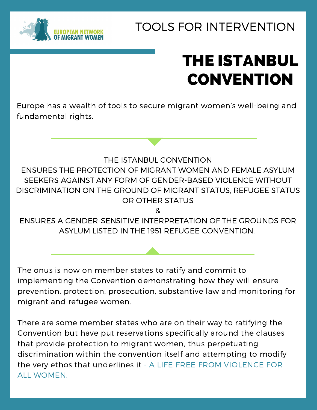

### TOOLS FOR INTERVENTION

## THE ISTANBUL **CONVENTION**

Europe has a wealth of tools to secure migrant women's well-being and fundamental rights.

 $\alpha$  and body text of body text of body text of body text of body text of body text of body text of body text of body text of body text of body text of body text of body text of body text of body text of body text of body THE ISTANBUL CONVENTION ENSURES THE PROTECTION OF MIGRANT WOMEN AND FEMALE ASYLUM SEEKERS AGAINST ANY FORM OF GENDER-BASED VIOLENCE WITHOUT DISCRIMINATION ON THE GROUND OF MIGRANT STATUS, REFUGEE STATUS OR OTHER STATUS

&

ENSURES A GENDER-SENSITIVE INTERPRETATION OF THE GROUNDS FOR ASYLUM LISTED IN THE 1951 REFUGEE CONVENTION.

The onus is now on member states to ratify and commit to implementing the Convention demonstrating how they will ensure prevention, protection, prosecution, substantive law and monitoring for migrant and refugee women.

There are some member states who are on their way to ratifying the Convention but have put reservations specifically around the clauses that provide protection to migrant women, thus perpetuating discrimination within the convention itself and attempting to modify the very ethos that underlines it - A LIFE FREE FROM VIOLENCE FOR ALL WOMEN.